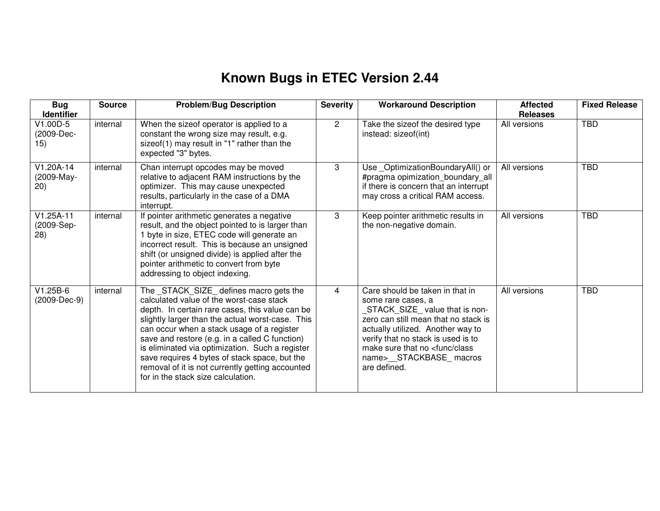## **Known Bugs in ETEC Version 2.44**

| <b>Bug</b><br><b>Identifier</b>   | <b>Source</b> | <b>Problem/Bug Description</b>                                                                                                                                                                                                                                                                                                                                                                                                                                                           | <b>Severity</b> | <b>Workaround Description</b>                                                                                                                                                                                                                                                                       | <b>Affected</b><br><b>Releases</b> | <b>Fixed Release</b> |
|-----------------------------------|---------------|------------------------------------------------------------------------------------------------------------------------------------------------------------------------------------------------------------------------------------------------------------------------------------------------------------------------------------------------------------------------------------------------------------------------------------------------------------------------------------------|-----------------|-----------------------------------------------------------------------------------------------------------------------------------------------------------------------------------------------------------------------------------------------------------------------------------------------------|------------------------------------|----------------------|
| $V1.00D-5$<br>(2009-Dec-<br>15)   | internal      | When the sizeof operator is applied to a<br>constant the wrong size may result, e.g.<br>sizeof(1) may result in "1" rather than the<br>expected "3" bytes.                                                                                                                                                                                                                                                                                                                               | $\overline{2}$  | Take the sizeof the desired type<br>instead: sizeof(int)                                                                                                                                                                                                                                            | All versions                       | <b>TBD</b>           |
| $V1.20A-14$<br>(2009-May-<br>(20) | internal      | Chan interrupt opcodes may be moved<br>relative to adjacent RAM instructions by the<br>optimizer. This may cause unexpected<br>results, particularly in the case of a DMA<br>interrupt.                                                                                                                                                                                                                                                                                                  | 3               | Use_OptimizationBoundaryAll() or<br>#pragma opimization_boundary_all<br>if there is concern that an interrupt<br>may cross a critical RAM access.                                                                                                                                                   | All versions                       | <b>TBD</b>           |
| $V1.25A-11$<br>(2009-Sep-<br>28)  | internal      | If pointer arithmetic generates a negative<br>result, and the object pointed to is larger than<br>1 byte in size, ETEC code will generate an<br>incorrect result. This is because an unsigned<br>shift (or unsigned divide) is applied after the<br>pointer arithmetic to convert from byte<br>addressing to object indexing.                                                                                                                                                            | 3               | Keep pointer arithmetic results in<br>the non-negative domain.                                                                                                                                                                                                                                      | All versions                       | <b>TBD</b>           |
| $V1.25B-6$<br>(2009-Dec-9)        | internal      | The _STACK_SIZE_ defines macro gets the<br>calculated value of the worst-case stack<br>depth. In certain rare cases, this value can be<br>slightly larger than the actual worst-case. This<br>can occur when a stack usage of a register<br>save and restore (e.g. in a called C function)<br>is eliminated via optimization. Such a register<br>save requires 4 bytes of stack space, but the<br>removal of it is not currently getting accounted<br>for in the stack size calculation. | 4               | Care should be taken in that in<br>some rare cases, a<br>STACK_SIZE_value that is non-<br>zero can still mean that no stack is<br>actually utilized. Another way to<br>verify that no stack is used is to<br>make sure that no <func class<br="">name&gt;__STACKBASE_macros<br/>are defined.</func> | All versions                       | <b>TBD</b>           |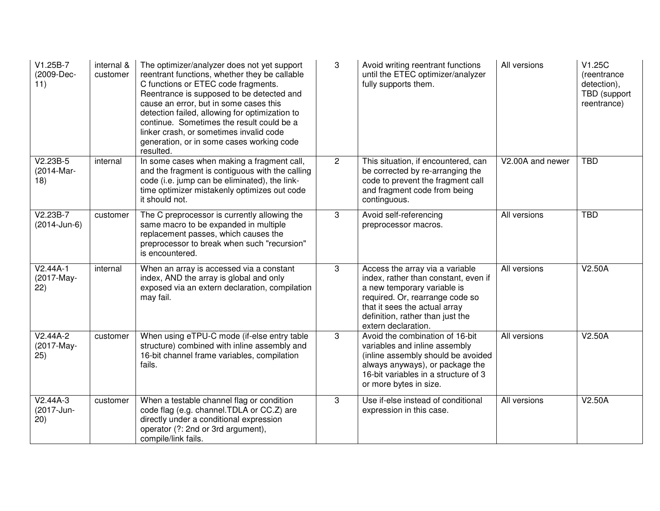| V1.25B-7<br>(2009-Dec-<br>11)              | internal &<br>customer | The optimizer/analyzer does not yet support<br>reentrant functions, whether they be callable<br>C functions or ETEC code fragments.<br>Reentrance is supposed to be detected and<br>cause an error, but in some cases this<br>detection failed, allowing for optimization to<br>continue. Sometimes the result could be a<br>linker crash, or sometimes invalid code<br>generation, or in some cases working code<br>resulted. | 3              | Avoid writing reentrant functions<br>until the ETEC optimizer/analyzer<br>fully supports them.                                                                                                                                        | All versions     | V1.25C<br>(reentrance<br>detection),<br>TBD (support<br>reentrance) |
|--------------------------------------------|------------------------|--------------------------------------------------------------------------------------------------------------------------------------------------------------------------------------------------------------------------------------------------------------------------------------------------------------------------------------------------------------------------------------------------------------------------------|----------------|---------------------------------------------------------------------------------------------------------------------------------------------------------------------------------------------------------------------------------------|------------------|---------------------------------------------------------------------|
| $V2.2\overline{3B-5}$<br>(2014-Mar-<br>18) | internal               | In some cases when making a fragment call,<br>and the fragment is contiguous with the calling<br>code (i.e. jump can be eliminated), the link-<br>time optimizer mistakenly optimizes out code<br>it should not.                                                                                                                                                                                                               | $\overline{2}$ | This situation, if encountered, can<br>be corrected by re-arranging the<br>code to prevent the fragment call<br>and fragment code from being<br>continguous.                                                                          | V2.00A and newer | <b>TBD</b>                                                          |
| $V2.23B-7$<br>(2014-Jun-6)                 | customer               | The C preprocessor is currently allowing the<br>same macro to be expanded in multiple<br>replacement passes, which causes the<br>preprocessor to break when such "recursion"<br>is encountered.                                                                                                                                                                                                                                | 3              | Avoid self-referencing<br>preprocessor macros.                                                                                                                                                                                        | All versions     | <b>TBD</b>                                                          |
| $V2.44A-1$<br>(2017-May-<br>22)            | internal               | When an array is accessed via a constant<br>index, AND the array is global and only<br>exposed via an extern declaration, compilation<br>may fail.                                                                                                                                                                                                                                                                             | 3              | Access the array via a variable<br>index, rather than constant, even if<br>a new temporary variable is<br>required. Or, rearrange code so<br>that it sees the actual array<br>definition, rather than just the<br>extern declaration. | All versions     | V2.50A                                                              |
| $V2.44A-2$<br>(2017-May-<br>25)            | customer               | When using eTPU-C mode (if-else entry table<br>structure) combined with inline assembly and<br>16-bit channel frame variables, compilation<br>fails.                                                                                                                                                                                                                                                                           | 3              | Avoid the combination of 16-bit<br>variables and inline assembly<br>(inline assembly should be avoided<br>always anyways), or package the<br>16-bit variables in a structure of 3<br>or more bytes in size.                           | All versions     | V2.50A                                                              |
| $V2.44A-3$<br>(2017-Jun-<br>(20)           | customer               | When a testable channel flag or condition<br>code flag (e.g. channel.TDLA or CC.Z) are<br>directly under a conditional expression<br>operator (?: 2nd or 3rd argument),<br>compile/link fails.                                                                                                                                                                                                                                 | 3              | Use if-else instead of conditional<br>expression in this case.                                                                                                                                                                        | All versions     | V2.50A                                                              |